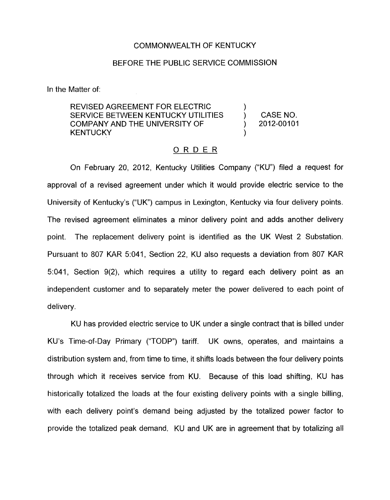## COMMONWEALTH OF KENTUCKY

## BEFORE THE PUBLIC SERVICE COMMISSION

In the Matter of:

REVISED AGREEMENT FOR ELECTRIC ( )<br>SERVICE BETWEEN KENTUCKY UTILITIES ( ) COMPANY AND THE UNIVERSITY OF ) 2012-00101 **KENTUCKY** SERVICE BETWEEN KENTUCKY UTILITIES (CASE NO.

## ORDER

On February 20, 2012, Kentucky Utilities Company ("KU") filed a request for approval of a revised agreement under which it would provide electric service to the University of Kentucky's ("UK") campus in Lexington, Kentucky via four delivery points. The revised agreement eliminates a minor delivery point and adds another delivery point. The replacement delivery point is identified as the UK West 2 Substation. Pursuant to 807 KAR 5:041, Section 22, KU also requests a deviation from 807 KAR 5:041, Section 9(2), which requires a utility to regard each delivery point as an independent customer and to separately meter the power delivered to each point of delivery.

KU has provided electric service to UK under a single contract that is billed under KU's Time-of-Day Primary ("TODP") tariff. UK owns, operates, and maintains a distribution system and, from time to time, it shifts loads between the four delivery points through which it receives service from KU. Because of this load shifting, KU has historically totalized the loads at the four existing delivery points with a single billing, with each delivery point's demand being adjusted by the totalized power factor to provide the totalized peak demand. KU and UK are in agreement that by totalizing all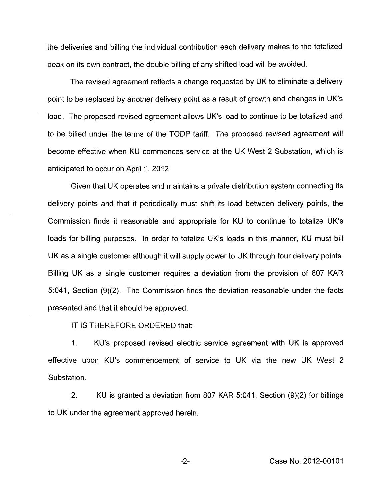the deliveries and billing the individual contribution each delivery makes to the totalized peak on its own contract, the double billing of any shifted load will be avoided.

The revised agreement reflects a change requested by UK to eliminate a delivery point to be replaced by another delivery point as a result of growth and changes in UK's load. The proposed revised agreement allows UK's load to continue to be totalized and to be billed under the terms of the TODP tariff. The proposed revised agreement will become effective when KU commences service at the UK West 2 Substation, which is anticipated to occur on April 1, 2012.

Given that UK operates and maintains a private distribution system connecting its delivery points and that it periodically must shift its load between delivery points, the Commission finds it reasonable and appropriate for KU to continue to totalize UK's loads for billing purposes. In order to totalize UK's loads in this manner, KU must bill UK as a single customer although it will supply power to UK through four delivery points. Billing UK as a single customer requires a deviation from the provision of 807 KAR 5:041, Section (9)(2). The Commission finds the deviation reasonable under the facts presented and that it should be approved.

IT IS THEREFORE ORDERED that:

1. KU's proposed revised electric service agreement with UK is approved effective upon KU's commencement of service to UK via the new UK West 2 Substation.

2. KU is granted a deviation from 807 KAR 5:041, Section (9)(2) for billings to UK under the agreement approved herein.

-2- Case No. 2012-00101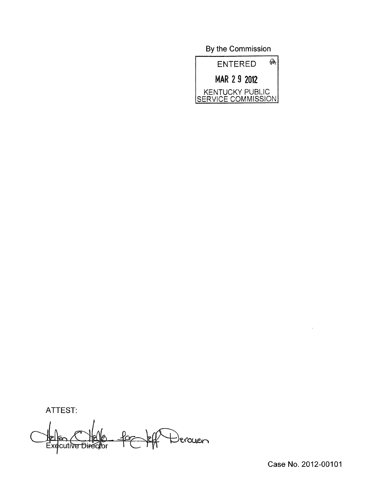By the Commission



ATTEST:

to Derouen Executive Dire .<br>.

Case No. 2012-00101